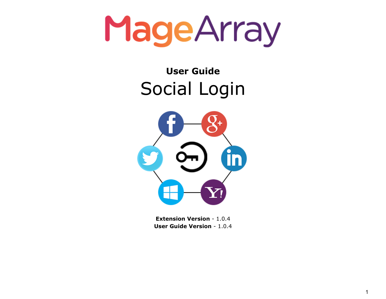MageArray

### **User Guide** Social Login



**Extension Version** - 1.0.4 **User Guide Version** - 1.0.4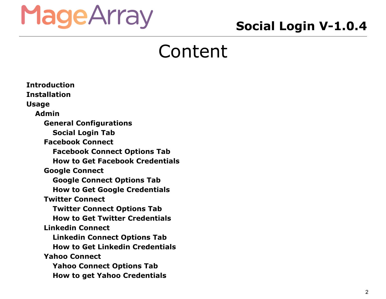### **Social Login V-1.0.4**

### Content

**[Introduction](#page-3-0) [Installation](#page-3-1) [Usage](#page-4-0) [Admin](#page-4-1) General [Configurations](#page-4-2) [Social](#page-5-0) Login Tab [Facebook](#page-5-1) Connect [Facebook](#page-5-2) Connect Options Tab How to Get Facebook [Credentials](#page-5-3) Google [Connect](#page-6-0) Google [Connect](#page-6-1) Options Tab How to Get Google [Credentials](#page-6-2) Twitter [Connect](#page-6-3) Twitter [Connect](#page-6-4) Options Tab How to Get Twitter [Credentials](#page-6-5) [Linkedin](#page-7-0) Connect [Linkedin](#page-7-1) Connect Options Tab How to Get Linkedin [Credentials](#page-7-2) Yahoo [Connect](#page-7-3) Yahoo [Connect](#page-7-4) Options Tab How to get Yahoo [Credentials](#page-8-0)**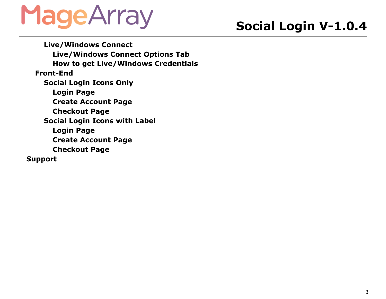### **Social Login V-1.0.4**

**[Live/Windows](#page-8-1) Connect [Live/Windows](#page-8-2) Connect Options Tab How to get [Live/Windows](#page-8-3) Credentials [Front-End](#page-9-0) [Social](#page-9-1) Login Icons Only [Login](#page-9-2) Page Create [Account](#page-10-0) Page [Checkout](#page-11-0) Page [Social](#page-12-0) Login Icons with Label [Login](#page-12-1) Page Create [Account](#page-13-0) Page [Checkout](#page-14-0) Page [Support](#page-15-0)**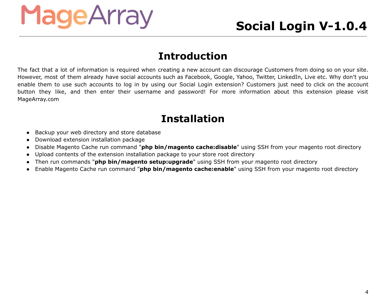### **Introduction**

<span id="page-3-0"></span>The fact that a lot of information is required when creating a new account can discourage Customers from doing so on your site. However, most of them already have social accounts such as Facebook, Google, Yahoo, Twitter, LinkedIn, Live etc. Why don't you enable them to use such accounts to log in by using our Social Login extension? Customers just need to click on the account button they like, and then enter their username and password! For more information about this extension please visit MageArray.com

### **Installation**

- <span id="page-3-1"></span>● Backup your web directory and store database
- Download extension installation package
- Disable Magento Cache run command "**php bin/magento cache:disable**" using SSH from your magento root directory
- Upload contents of the extension installation package to your store root directory
- Then run commands "**php bin/magento setup:upgrade**" using SSH from your magento root directory
- Enable Magento Cache run command "**php bin/magento cache:enable**" using SSH from your magento root directory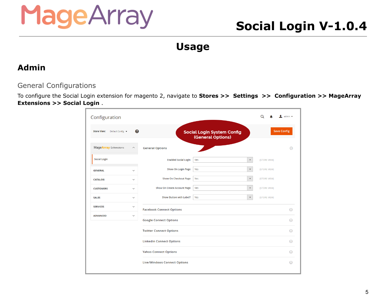### **Social Login V-1.0.4**

**Usage**

#### <span id="page-4-1"></span><span id="page-4-0"></span>**Admin**

#### <span id="page-4-2"></span>General Configurations

To configure the Social Login extension for magento 2, navigate to **Stores >> Settings >> Configuration >> MageArray Extensions >> Social Login** .

| Configuration                          |                         |                                     |                                                        |              | $\mathbf 1$ admin $\mathbf$ |
|----------------------------------------|-------------------------|-------------------------------------|--------------------------------------------------------|--------------|-----------------------------|
| <b>Store View:</b><br>Default Config v | Q                       |                                     | <b>Social Login System Config</b><br>(General Options) |              | <b>Save Config</b>          |
| MageArray Extensions                   | $\widehat{\phantom{a}}$ | <b>General Options</b>              |                                                        |              | ⊝                           |
| <b>Social Login</b>                    |                         | <b>Enabled Social Login</b>         | $\boldsymbol{\mathrm{v}}$<br>Yes                       | [STORE VIEW] |                             |
| <b>GENERAL</b>                         | $\checkmark$            | Show On Login Page                  | $\boldsymbol{\mathrm{v}}$<br>Yes                       | [STORE VIEW] |                             |
| <b>CATALOG</b>                         | $\check{~}$             | <b>Show On Checkout Page</b>        | Yes<br>$\boldsymbol{\mathrm{v}}$                       | [STORE VIEW] |                             |
| <b>CUSTOMERS</b>                       | $\checkmark$            | Show On Create Account Page         | $\mathbf{v}$<br>Yes                                    | [STORE VIEW] |                             |
| <b>SALES</b>                           | $\checkmark$            | Show Button with Label?             | Yes<br>$\boldsymbol{\mathrm{v}}$                       | [STORE VIEW] |                             |
| <b>SERVICES</b>                        | $\checkmark$            | <b>Facebook Connect Options</b>     |                                                        |              | ⊙                           |
| <b>ADVANCED</b>                        | $\checkmark$            | <b>Google Connect Options</b>       |                                                        |              | ⊙                           |
|                                        |                         | <b>Twitter Connect Options</b>      |                                                        |              | ⊝                           |
|                                        |                         | <b>Linkedin Connect Options</b>     |                                                        |              | ☉                           |
|                                        |                         | <b>Yahoo Connect Options</b>        |                                                        |              | ⊙                           |
|                                        |                         | <b>Live/Windows Connect Options</b> |                                                        |              | ⊝                           |
|                                        |                         |                                     |                                                        |              |                             |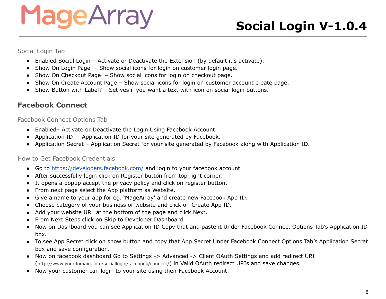<span id="page-5-0"></span>Social Login Tab

- Enabled Social Login Activate or Deactivate the Extension (by default it's activate).
- Show On Login Page Show social icons for login on customer login page.
- Show On Checkout Page Show social icons for login on checkout page.
- Show On Create Account Page Show social icons for login on customer account create page.
- Show Button with Label? Set yes if you want a text with icon on social login buttons.

#### <span id="page-5-1"></span>**Facebook Connect**

<span id="page-5-2"></span>Facebook Connect Options Tab

- Enabled– Activate or Deactivate the Login Using Facebook Account.
- Application ID Application ID for your site generated by Facebook.
- Application Secret Application Secret for your site generated by Facebook along with Application ID.

#### <span id="page-5-3"></span>How to Get Facebook Credentials

- Go to <https://developers.facebook.com/> and login to your facebook account.
- After successfully login click on Register button from top right corner.
- It opens a popup accept the privacy policy and click on register button.
- From next page select the App platform as Website.
- Give a name to your app for eg. 'MageArray' and create new Facebook App ID.
- Choose category of your business or website and click on Create App ID.
- Add your website URL at the bottom of the page and click Next.
- From Next Steps click on Skip to Developer [Dashboard.](https://developers.facebook.com/apps/805707772906199/)
- Now on Dashboard you can see Application ID Copy that and paste it Under Facebook Connect Options Tab's Application ID box.
- To see App Secret click on show button and copy that App Secret Under Facebook Connect Options Tab's Application Secret box and save configuration.
- Now on facebook dashboard Go to Settings -> Advanced -> Client OAuth Settings and add redirect URI (http://www.yourdomain.com/sociallogin/facebook/connect/) in Valid OAuth redirect URIs and save changes.
- Now your customer can login to your site using their Facebook Account.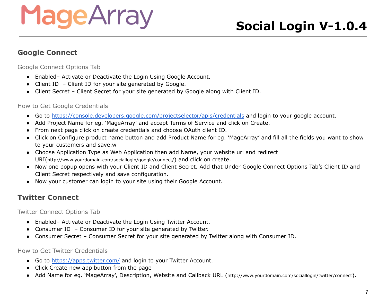#### <span id="page-6-0"></span>**Google Connect**

<span id="page-6-1"></span>Google Connect Options Tab

- Enabled– Activate or Deactivate the Login Using Google Account.
- Client ID Client ID for your site generated by Google.
- Client Secret Client Secret for your site generated by Google along with Client ID.

#### <span id="page-6-2"></span>How to Get Google Credentials

- Go to <https://console.developers.google.com/projectselector/apis/credentials> and login to your google account.
- Add Project Name for eg. 'MageArray' and accept Terms of [Service](https://console.developers.google.com/terms) and click on Create.
- From next page click on create credentials and choose OAuth client ID.
- Click on Configure product name button and add Product Name for eg. 'MageArray' and fill all the fields you want to show to your customers and save.w
- Choose Application Type as Web Application then add Name, your website url and redirect URI(http://www.yourdomain.com/sociallogin/google/connect/) and click on create.
- Now one popup opens with your Client ID and Client Secret. Add that Under Google Connect Options Tab's Client ID and Client Secret respectively and save configuration.
- Now your customer can login to your site using their Google Account.

#### <span id="page-6-3"></span>**Twitter Connect**

<span id="page-6-4"></span>Twitter Connect Options Tab

- Enabled– Activate or Deactivate the Login Using Twitter Account.
- Consumer ID Consumer ID for your site generated by Twitter.
- Consumer Secret Consumer Secret for your site generated by Twitter along with Consumer ID.

#### <span id="page-6-5"></span>How to Get Twitter Credentials

- Go to <https://apps.twitter.com/> and login to your Twitter Account.
- Click Create new app button from the page
- Add Name for eg. 'MageArray', Description, Website and Callback URL (http://www.yourdomain.com/sociallogin/twitter/connect).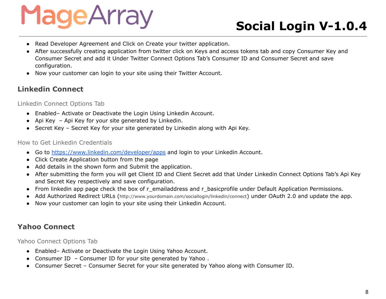### **Social Login V-1.0.4**

- Read Developer Agreement and Click on Create your twitter application.
- After successfully creating application from twitter click on Keys and access tokens tab and copy Consumer Key and Consumer Secret and add it Under Twitter Connect Options Tab's Consumer ID and Consumer Secret and save configuration.
- Now your customer can login to your site using their Twitter Account.

#### <span id="page-7-0"></span>**Linkedin Connect**

<span id="page-7-1"></span>Linkedin Connect Options Tab

- Enabled– Activate or Deactivate the Login Using Linkedin Account.
- Api Key Api Key for your site generated by Linkedin.
- Secret Key Secret Key for your site generated by Linkedin along with Api Key.

#### <span id="page-7-2"></span>How to Get Linkedin Credentials

- Go to <https://www.linkedin.com/developer/apps> and login to your Linkedin Account.
- Click Create Application button from the page
- Add details in the shown form and Submit the application.
- After submitting the form you will get Client ID and Client Secret add that Under Linkedin Connect Options Tab's Api Key and Secret Key respectively and save configuration.
- From linkedin app page check the box of r\_emailaddress and r\_basicprofile under Default Application Permissions.
- Add Authorized Redirect URLs (http://www.yourdomain.com/sociallogin/linkedin/connect) under OAuth 2.0 and update the app.
- Now your customer can login to your site using their Linkedin Account.

#### <span id="page-7-3"></span>**Yahoo Connect**

<span id="page-7-4"></span>Yahoo Connect Options Tab

- Enabled– Activate or Deactivate the Login Using Yahoo Account.
- Consumer ID Consumer ID for your site generated by Yahoo .
- Consumer Secret Consumer Secret for your site generated by Yahoo along with Consumer ID.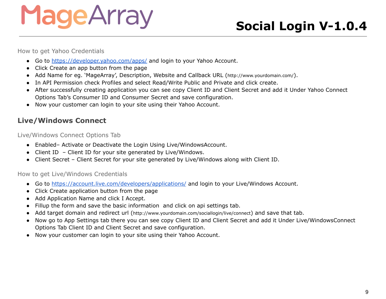### **Social Login V-1.0.4**

<span id="page-8-0"></span>How to get Yahoo Credentials

- Go to <https://developer.yahoo.com/apps/> and login to your Yahoo Account.
- Click Create an app button from the page
- Add Name for eg. 'MageArray', Description, Website and Callback URL (http://www.yourdomain.com/).
- In API Permission check Profiles and select Read/Write Public and Private and click create.
- After successfully creating application you can see copy Client ID and Client Secret and add it Under Yahoo Connect Options Tab's Consumer ID and Consumer Secret and save configuration.
- Now your customer can login to your site using their Yahoo Account.

#### <span id="page-8-1"></span>**Live/Windows Connect**

<span id="page-8-2"></span>Live/Windows Connect Options Tab

- Enabled– Activate or Deactivate the Login Using Live/WindowsAccount.
- Client ID Client ID for your site generated by Live/Windows.
- Client Secret Client Secret for your site generated by Live/Windows along with Client ID.

#### <span id="page-8-3"></span>How to get Live/Windows Credentials

- Go to <https://account.live.com/developers/applications/> and login to your Live/Windows Account.
- Click Create application button from the page
- Add Application Name and click I Accept.
- Fillup the form and save the basic information and click on api settings tab.
- Add target domain and redirect url (<http://www.yourdomain.com/sociallogin/live/connect>) and save that tab.
- Now go to App Settings tab there you can see copy Client ID and Client Secret and add it Under Live/WindowsConnect Options Tab Client ID and Client Secret and save configuration.
- Now your customer can login to your site using their Yahoo Account.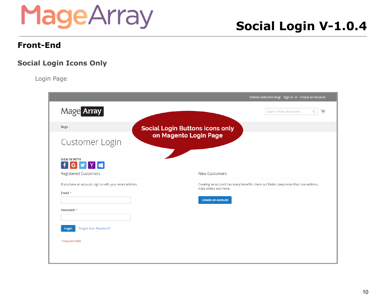### **Social Login V-1.0.4**

#### <span id="page-9-0"></span>**Front-End**

#### <span id="page-9-2"></span><span id="page-9-1"></span>**Social Login Icons Only**

Login Page

|                                                                        | Default welcome msgl Sign In or Create an Account                                    |   |
|------------------------------------------------------------------------|--------------------------------------------------------------------------------------|---|
| Mage Array                                                             | Search entire store here<br>Q                                                        | 圇 |
| <b>Bags</b>                                                            | <b>Social Login Buttons icons only</b>                                               |   |
| <b>Customer Login</b>                                                  | on Magento Login Page                                                                |   |
| <b>SIGN IN WITH</b><br><b>f G Y Y E</b><br><b>Registered Customers</b> | <b>New Customers</b>                                                                 |   |
| If you have an account, sign in with your email address.               | Creating an account has many benefits: check out faster, keep more than one address, |   |
| Email *                                                                | track orders and more.                                                               |   |
|                                                                        | <b>Create an Account</b>                                                             |   |
| Password *                                                             |                                                                                      |   |
| Forgot Your Password?<br>Login                                         |                                                                                      |   |
| * Required Fields                                                      |                                                                                      |   |
|                                                                        |                                                                                      |   |
|                                                                        |                                                                                      |   |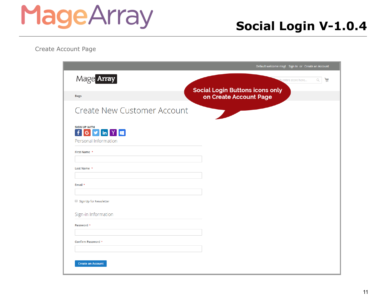<span id="page-10-0"></span>Create Account Page

|                                                                                                                      | Default welcome msgl Sign In or Create an Account                |
|----------------------------------------------------------------------------------------------------------------------|------------------------------------------------------------------|
| Mage Array                                                                                                           | 圇<br>$\alpha$<br>entire store here                               |
| <b>Bags</b>                                                                                                          | <b>Social Login Buttons icons only</b><br>on Create Account Page |
| <b>Create New Customer Account</b>                                                                                   |                                                                  |
| <b>SIGN UP WITH</b><br>$G$ $\bullet$ $\bullet$ $\bullet$ $\bullet$ $\bullet$<br>$\mathbf{f}$<br>Personal Information |                                                                  |
| First Name *                                                                                                         |                                                                  |
| Last Name *                                                                                                          |                                                                  |
| Email *                                                                                                              |                                                                  |
| Sign Up for Newsletter                                                                                               |                                                                  |
| Sign-in Information                                                                                                  |                                                                  |
| Password *                                                                                                           |                                                                  |
| Confirm Password *                                                                                                   |                                                                  |
| <b>Create an Account</b>                                                                                             |                                                                  |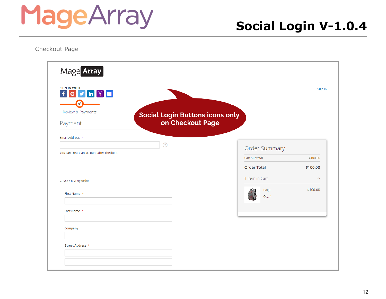<span id="page-11-0"></span>Checkout Page

| <b>SIGN IN WITH</b><br>G y in Y<br>$\ddot{\mathbf{f}}$ |                                                            |                    | Sign In                 |
|--------------------------------------------------------|------------------------------------------------------------|--------------------|-------------------------|
| Review & Payments<br>Payment                           | <b>Social Login Buttons icons only</b><br>on Checkout Page |                    |                         |
| Email Address *                                        |                                                            |                    |                         |
| You can create an account after checkout.              | $\circled{?}$                                              | Order Summary      |                         |
|                                                        |                                                            | Cart Subtotal      | \$100.00                |
|                                                        |                                                            | <b>Order Total</b> | \$100.00                |
| Check / Money order                                    |                                                            | 1 Item in Cart     | $\widehat{\phantom{a}}$ |
| First Name *                                           |                                                            | Bag3<br>Qty: 1     | \$100.00                |
| Last Name *                                            |                                                            |                    |                         |
| Company                                                |                                                            |                    |                         |
| Street Address *                                       |                                                            |                    |                         |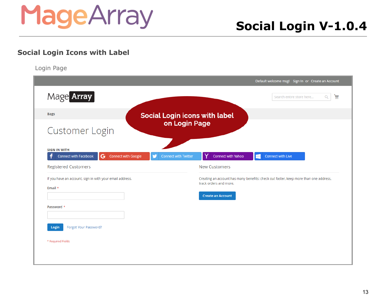#### <span id="page-12-1"></span><span id="page-12-0"></span>**Social Login Icons with Label**

Login Page

|                                                                                                                | Default welcome msgl Sign In or Create an Account                                                                                          |
|----------------------------------------------------------------------------------------------------------------|--------------------------------------------------------------------------------------------------------------------------------------------|
| Mage Array                                                                                                     | 圇<br>Search entire store here<br>Q                                                                                                         |
| <b>Bags</b><br><b>Social Login icons with label</b>                                                            |                                                                                                                                            |
| on Login Page<br>Customer Login                                                                                |                                                                                                                                            |
| <b>SIGN IN WITH</b><br>G<br>Connect with Facebook<br><b>Connect with Google</b><br><b>Connect with Twitter</b> | Connect with Yahoo<br>Connect with Live<br>æ                                                                                               |
| <b>Registered Customers</b>                                                                                    | <b>New Customers</b>                                                                                                                       |
| If you have an account, sign in with your email address.<br>Email *                                            | Creating an account has many benefits: check out faster, keep more than one address,<br>track orders and more.<br><b>Create an Account</b> |
| Password *                                                                                                     |                                                                                                                                            |
| Forgot Your Password?<br>Login                                                                                 |                                                                                                                                            |
| * Required Fields                                                                                              |                                                                                                                                            |
|                                                                                                                |                                                                                                                                            |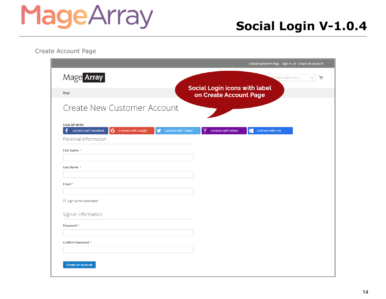### **Social Login V-1.0.4**

<span id="page-13-0"></span>Create Account Page

|                                                                                                                     | Default welcome msgl Sign In or Create an Account              |
|---------------------------------------------------------------------------------------------------------------------|----------------------------------------------------------------|
| Mage Array                                                                                                          | $\alpha$<br>飍<br>h entire store here                           |
| <b>Bags</b>                                                                                                         | <b>Social Login icons with label</b><br>on Create Account Page |
| <b>Create New Customer Account</b>                                                                                  |                                                                |
| <b>SIGN UP WITH</b><br>G<br>Connect with Google<br><b>Connect with Facebook</b><br><b>Connect with Twitter</b><br>w | Connect with Yahoo<br>Connect with Live<br>∓                   |
| Personal Information                                                                                                |                                                                |
| First Name *                                                                                                        |                                                                |
| Last Name *                                                                                                         |                                                                |
| Email *                                                                                                             |                                                                |
| Sign Up for Newsletter                                                                                              |                                                                |
| Sign-in Information                                                                                                 |                                                                |
| Password *                                                                                                          |                                                                |
| Confirm Password *                                                                                                  |                                                                |
|                                                                                                                     |                                                                |
| <b>Create an Account</b>                                                                                            |                                                                |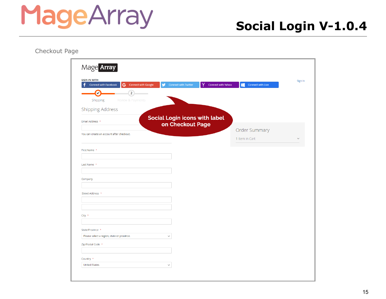<span id="page-14-0"></span>Checkout Page

| Mage Array                                                                                  |                                                   |                    |                        |              |
|---------------------------------------------------------------------------------------------|---------------------------------------------------|--------------------|------------------------|--------------|
| <b>SIGN IN WITH</b><br>4<br><b>Connect with Facebook</b><br>G<br><b>Connect with Google</b> | v<br><b>Connect with Twitter</b>                  | Connect with Yahoo | Æ<br>Connect with Live | Sign In      |
| V<br>$\overline{2}$                                                                         |                                                   |                    |                        |              |
| Shipping<br>Review & Payments                                                               |                                                   |                    |                        |              |
| <b>Shipping Address</b>                                                                     |                                                   |                    |                        |              |
| Email Address *                                                                             | Social Login icons with label<br>on Checkout Page |                    |                        |              |
| You can create an account after checkout.                                                   |                                                   |                    | Order Summary          |              |
|                                                                                             |                                                   |                    | 1 Item in Cart         | $\checkmark$ |
| First Name *                                                                                |                                                   |                    |                        |              |
|                                                                                             |                                                   |                    |                        |              |
| Last Name *                                                                                 |                                                   |                    |                        |              |
|                                                                                             |                                                   |                    |                        |              |
| Company                                                                                     |                                                   |                    |                        |              |
| Street Address *                                                                            |                                                   |                    |                        |              |
|                                                                                             |                                                   |                    |                        |              |
|                                                                                             |                                                   |                    |                        |              |
| City *                                                                                      |                                                   |                    |                        |              |
|                                                                                             |                                                   |                    |                        |              |
| State/Province *<br>Please select a region, state or province.                              | $\checkmark$                                      |                    |                        |              |
| Zip/Postal Code *                                                                           |                                                   |                    |                        |              |
|                                                                                             |                                                   |                    |                        |              |
| Country *                                                                                   |                                                   |                    |                        |              |
| <b>United States</b>                                                                        | $\checkmark$                                      |                    |                        |              |